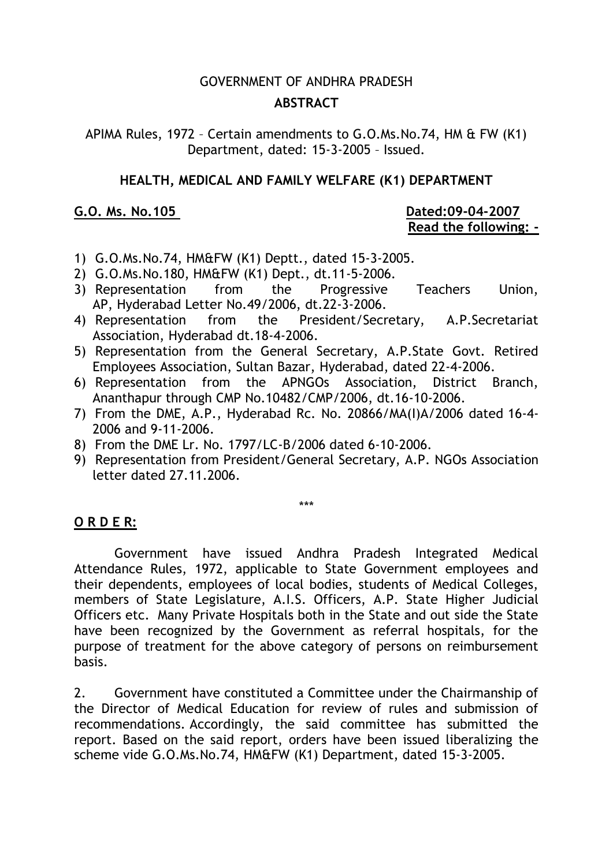# GOVERNMENT OF ANDHRA PRADESH **ABSTRACT**

APIMA Rules, 1972 – Certain amendments to G.O.Ms.No.74, HM & FW (K1) Department, dated: 15-3-2005 – Issued.

# **HEALTH, MEDICAL AND FAMILY WELFARE (K1) DEPARTMENT**

# **G.O. Ms. No.105 Dated:09-04-2007 Read the following: -**

- 1) G.O.Ms.No.74, HM&FW (K1) Deptt., dated 15-3-2005.
- 2) G.O.Ms.No.180, HM&FW (K1) Dept., dt.11-5-2006.
- 3) Representation from the Progressive Teachers Union, AP, Hyderabad Letter No.49/2006, dt.22-3-2006.
- 4) Representation from the President/Secretary, A.P.Secretariat Association, Hyderabad dt.18-4-2006.
- 5) Representation from the General Secretary, A.P.State Govt. Retired Employees Association, Sultan Bazar, Hyderabad, dated 22-4-2006.
- 6) Representation from the APNGOs Association, District Branch, Ananthapur through CMP No.10482/CMP/2006, dt.16-10-2006.
- 7) From the DME, A.P., Hyderabad Rc. No. 20866/MA(I)A/2006 dated 16-4- 2006 and 9-11-2006.
- 8) From the DME Lr. No. 1797/LC-B/2006 dated 6-10-2006.
- 9) Representation from President/General Secretary, A.P. NGOs Association letter dated 27.11.2006.

\*\*\*

# **O R D E R:**

 Government have issued Andhra Pradesh Integrated Medical Attendance Rules, 1972, applicable to State Government employees and their dependents, employees of local bodies, students of Medical Colleges, members of State Legislature, A.I.S. Officers, A.P. State Higher Judicial Officers etc. Many Private Hospitals both in the State and out side the State have been recognized by the Government as referral hospitals, for the purpose of treatment for the above category of persons on reimbursement basis.

2. Government have constituted a Committee under the Chairmanship of the Director of Medical Education for review of rules and submission of recommendations. Accordingly, the said committee has submitted the report. Based on the said report, orders have been issued liberalizing the scheme vide G.O.Ms.No.74, HM&FW (K1) Department, dated 15-3-2005.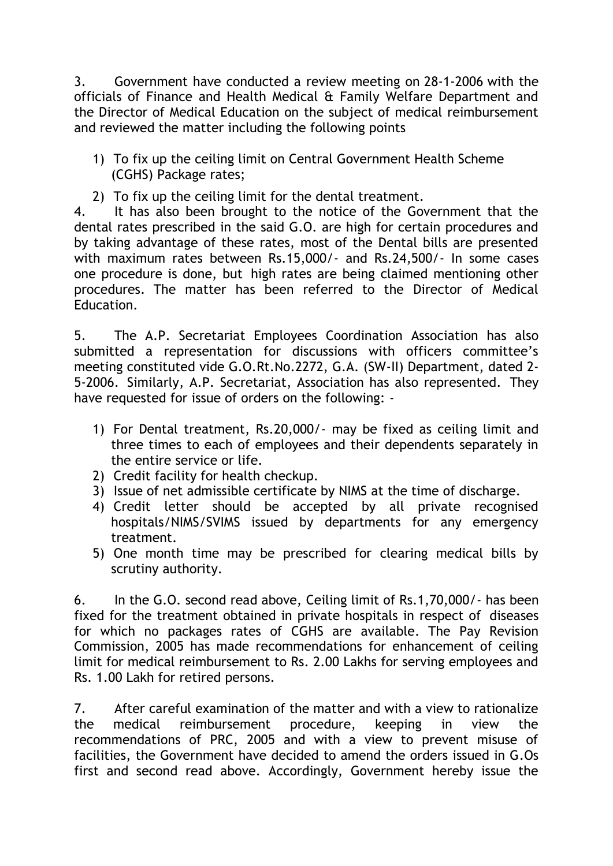3. Government have conducted a review meeting on 28-1-2006 with the officials of Finance and Health Medical & Family Welfare Department and the Director of Medical Education on the subject of medical reimbursement and reviewed the matter including the following points

- 1) To fix up the ceiling limit on Central Government Health Scheme (CGHS) Package rates;
- 2) To fix up the ceiling limit for the dental treatment.

4. It has also been brought to the notice of the Government that the dental rates prescribed in the said G.O. are high for certain procedures and by taking advantage of these rates, most of the Dental bills are presented with maximum rates between Rs.15,000/- and Rs.24,500/- In some cases one procedure is done, but high rates are being claimed mentioning other procedures. The matter has been referred to the Director of Medical Education.

5. The A.P. Secretariat Employees Coordination Association has also submitted a representation for discussions with officers committee's meeting constituted vide G.O.Rt.No.2272, G.A. (SW-II) Department, dated 2- 5-2006. Similarly, A.P. Secretariat, Association has also represented. They have requested for issue of orders on the following: -

- 1) For Dental treatment, Rs.20,000/- may be fixed as ceiling limit and three times to each of employees and their dependents separately in the entire service or life.
- 2) Credit facility for health checkup.
- 3) Issue of net admissible certificate by NIMS at the time of discharge.
- 4) Credit letter should be accepted by all private recognised hospitals/NIMS/SVIMS issued by departments for any emergency treatment.
- 5) One month time may be prescribed for clearing medical bills by scrutiny authority.

6. In the G.O. second read above, Ceiling limit of Rs.1,70,000/- has been fixed for the treatment obtained in private hospitals in respect of diseases for which no packages rates of CGHS are available. The Pay Revision Commission, 2005 has made recommendations for enhancement of ceiling limit for medical reimbursement to Rs. 2.00 Lakhs for serving employees and Rs. 1.00 Lakh for retired persons.

7. After careful examination of the matter and with a view to rationalize the medical reimbursement procedure, keeping in view the recommendations of PRC, 2005 and with a view to prevent misuse of facilities, the Government have decided to amend the orders issued in G.Os first and second read above. Accordingly, Government hereby issue the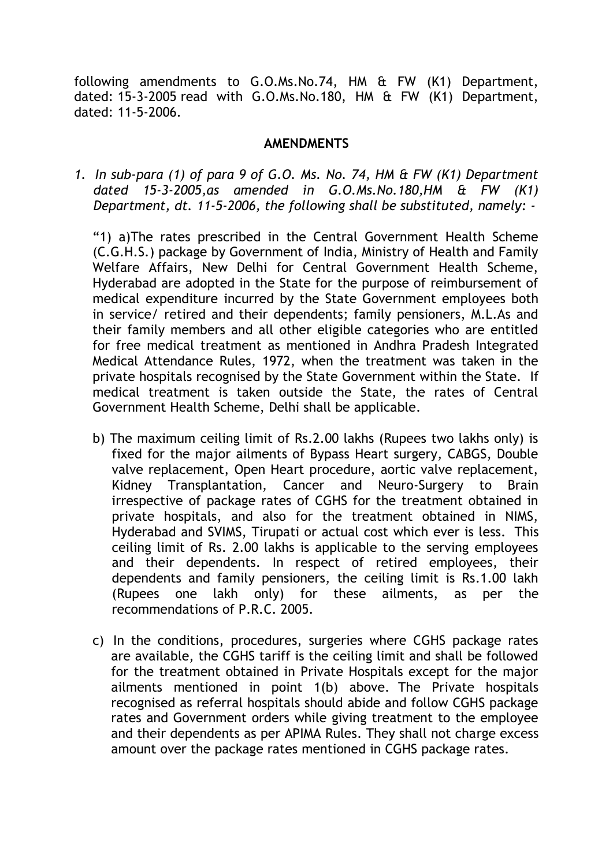following amendments to G.O.Ms.No.74, HM & FW (K1) Department, dated: 15-3-2005 read with G.O.Ms.No.180, HM & FW (K1) Department, dated: 11-5-2006.

#### **AMENDMENTS**

*1. In sub-para (1) of para 9 of G.O. Ms. No. 74, HM & FW (K1) Department dated 15-3-2005,as amended in G.O.Ms.No.180,HM & FW (K1) Department, dt. 11-5-2006, the following shall be substituted, namely: -*

"1) a)The rates prescribed in the Central Government Health Scheme (C.G.H.S.) package by Government of India, Ministry of Health and Family Welfare Affairs, New Delhi for Central Government Health Scheme, Hyderabad are adopted in the State for the purpose of reimbursement of medical expenditure incurred by the State Government employees both in service/ retired and their dependents; family pensioners, M.L.As and their family members and all other eligible categories who are entitled for free medical treatment as mentioned in Andhra Pradesh Integrated Medical Attendance Rules, 1972, when the treatment was taken in the private hospitals recognised by the State Government within the State. If medical treatment is taken outside the State, the rates of Central Government Health Scheme, Delhi shall be applicable.

- b) The maximum ceiling limit of Rs.2.00 lakhs (Rupees two lakhs only) is fixed for the major ailments of Bypass Heart surgery, CABGS, Double valve replacement, Open Heart procedure, aortic valve replacement, Kidney Transplantation, Cancer and Neuro-Surgery to Brain irrespective of package rates of CGHS for the treatment obtained in private hospitals, and also for the treatment obtained in NIMS, Hyderabad and SVIMS, Tirupati or actual cost which ever is less. This ceiling limit of Rs. 2.00 lakhs is applicable to the serving employees and their dependents. In respect of retired employees, their dependents and family pensioners, the ceiling limit is Rs.1.00 lakh (Rupees one lakh only) for these ailments, as per the recommendations of P.R.C. 2005.
- c) In the conditions, procedures, surgeries where CGHS package rates are available, the CGHS tariff is the ceiling limit and shall be followed for the treatment obtained in Private Hospitals except for the major ailments mentioned in point 1(b) above. The Private hospitals recognised as referral hospitals should abide and follow CGHS package rates and Government orders while giving treatment to the employee and their dependents as per APIMA Rules. They shall not charge excess amount over the package rates mentioned in CGHS package rates.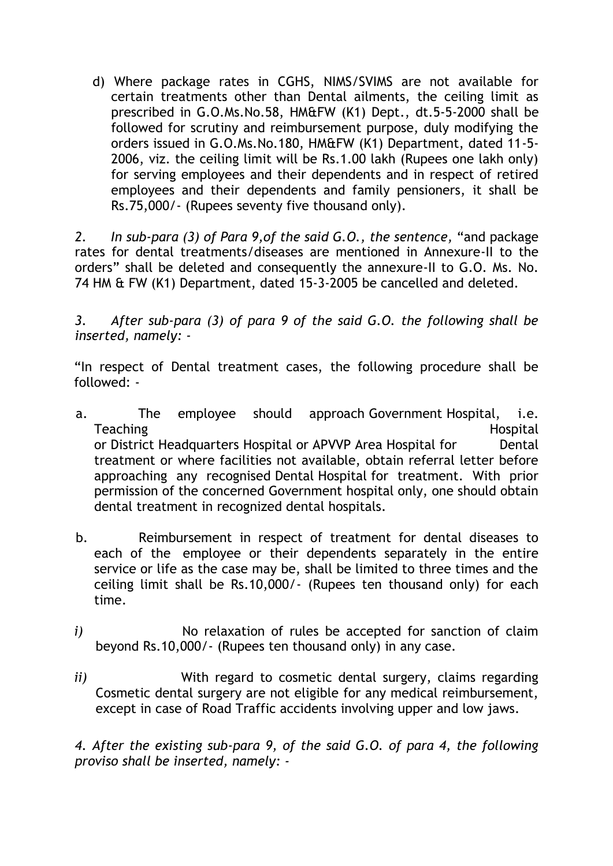d) Where package rates in CGHS, NIMS/SVIMS are not available for certain treatments other than Dental ailments, the ceiling limit as prescribed in G.O.Ms.No.58, HM&FW (K1) Dept., dt.5-5-2000 shall be followed for scrutiny and reimbursement purpose, duly modifying the orders issued in G.O.Ms.No.180, HM&FW (K1) Department, dated 11-5- 2006, viz. the ceiling limit will be Rs.1.00 lakh (Rupees one lakh only) for serving employees and their dependents and in respect of retired employees and their dependents and family pensioners, it shall be Rs.75,000/- (Rupees seventy five thousand only).

*2. In sub-para (3) of Para 9,of the said G.O., the sentence,* "and package rates for dental treatments/diseases are mentioned in Annexure-II to the orders" shall be deleted and consequently the annexure-II to G.O. Ms. No. 74 HM & FW (K1) Department, dated 15-3-2005 be cancelled and deleted.

*3. After sub-para (3) of para 9 of the said G.O. the following shall be inserted, namely: -*

"In respect of Dental treatment cases, the following procedure shall be followed: -

- a. The employee should approach Government Hospital, i.e. Teaching Hospital Teaching Hospital Association and the set of the set of the Hospital Hospital Hospital Association and the Hospital Association and the Hospital Association and the Hospital Association and the Hospital A or District Headquarters Hospital or APVVP Area Hospital for Dental treatment or where facilities not available, obtain referral letter before approaching any recognised Dental Hospital for treatment. With prior permission of the concerned Government hospital only, one should obtain dental treatment in recognized dental hospitals.
- b. Reimbursement in respect of treatment for dental diseases to each of the employee or their dependents separately in the entire service or life as the case may be, shall be limited to three times and the ceiling limit shall be Rs.10,000/- (Rupees ten thousand only) for each time.
- *i*) No relaxation of rules be accepted for sanction of claim beyond Rs.10,000/- (Rupees ten thousand only) in any case.
- *ii)* With regard to cosmetic dental surgery, claims regarding Cosmetic dental surgery are not eligible for any medical reimbursement, except in case of Road Traffic accidents involving upper and low jaws.

*4. After the existing sub-para 9, of the said G.O. of para 4, the following proviso shall be inserted, namely: -*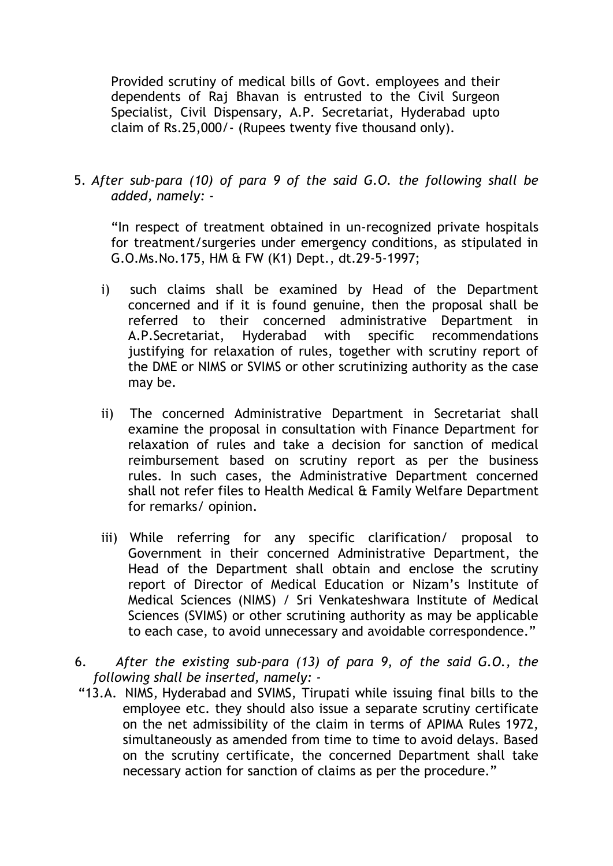Provided scrutiny of medical bills of Govt. employees and their dependents of Raj Bhavan is entrusted to the Civil Surgeon Specialist, Civil Dispensary, A.P. Secretariat, Hyderabad upto claim of Rs.25,000/- (Rupees twenty five thousand only).

5. *After sub-para (10) of para 9 of the said G.O. the following shall be added, namely: -*

"In respect of treatment obtained in un-recognized private hospitals for treatment/surgeries under emergency conditions, as stipulated in G.O.Ms.No.175, HM & FW (K1) Dept., dt.29-5-1997;

- i) such claims shall be examined by Head of the Department concerned and if it is found genuine, then the proposal shall be referred to their concerned administrative Department in A.P.Secretariat, Hyderabad with specific recommendations justifying for relaxation of rules, together with scrutiny report of the DME or NIMS or SVIMS or other scrutinizing authority as the case may be.
- ii) The concerned Administrative Department in Secretariat shall examine the proposal in consultation with Finance Department for relaxation of rules and take a decision for sanction of medical reimbursement based on scrutiny report as per the business rules. In such cases, the Administrative Department concerned shall not refer files to Health Medical & Family Welfare Department for remarks/ opinion.
- iii) While referring for any specific clarification/ proposal to Government in their concerned Administrative Department, the Head of the Department shall obtain and enclose the scrutiny report of Director of Medical Education or Nizam's Institute of Medical Sciences (NIMS) / Sri Venkateshwara Institute of Medical Sciences (SVIMS) or other scrutining authority as may be applicable to each case, to avoid unnecessary and avoidable correspondence."
- 6. *After the existing sub-para (13) of para 9, of the said G.O., the following shall be inserted, namely: -*
- "13.A. NIMS, Hyderabad and SVIMS, Tirupati while issuing final bills to the employee etc. they should also issue a separate scrutiny certificate on the net admissibility of the claim in terms of APIMA Rules 1972, simultaneously as amended from time to time to avoid delays. Based on the scrutiny certificate, the concerned Department shall take necessary action for sanction of claims as per the procedure."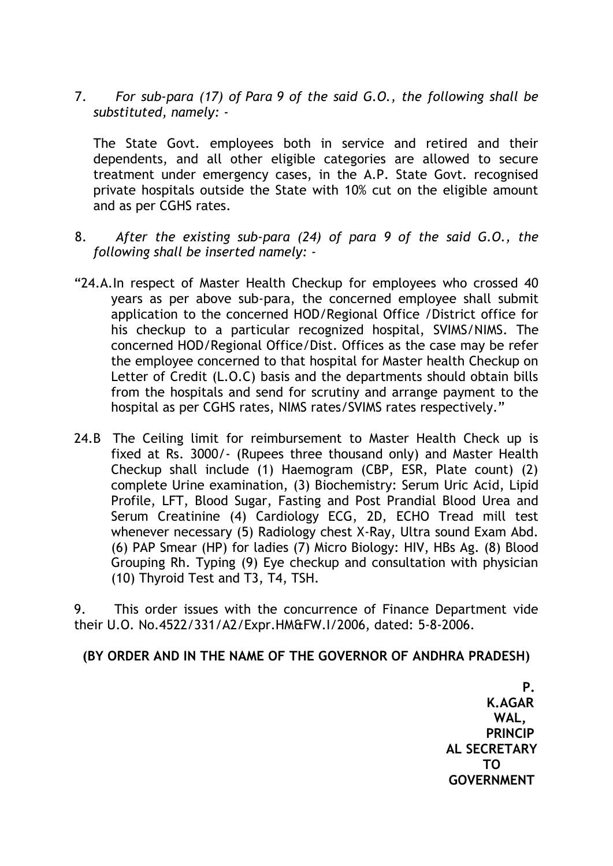7. *For sub-para (17) of Para 9 of the said G.O., the following shall be substituted, namely: -*

The State Govt. employees both in service and retired and their dependents, and all other eligible categories are allowed to secure treatment under emergency cases, in the A.P. State Govt. recognised private hospitals outside the State with 10% cut on the eligible amount and as per CGHS rates.

- 8. *After the existing sub-para (24) of para 9 of the said G.O., the following shall be inserted namely: -*
- "24.A.In respect of Master Health Checkup for employees who crossed 40 years as per above sub-para, the concerned employee shall submit application to the concerned HOD/Regional Office /District office for his checkup to a particular recognized hospital, SVIMS/NIMS. The concerned HOD/Regional Office/Dist. Offices as the case may be refer the employee concerned to that hospital for Master health Checkup on Letter of Credit (L.O.C) basis and the departments should obtain bills from the hospitals and send for scrutiny and arrange payment to the hospital as per CGHS rates, NIMS rates/SVIMS rates respectively."
- 24.B The Ceiling limit for reimbursement to Master Health Check up is fixed at Rs. 3000/- (Rupees three thousand only) and Master Health Checkup shall include (1) Haemogram (CBP, ESR, Plate count) (2) complete Urine examination, (3) Biochemistry: Serum Uric Acid, Lipid Profile, LFT, Blood Sugar, Fasting and Post Prandial Blood Urea and Serum Creatinine (4) Cardiology ECG, 2D, ECHO Tread mill test whenever necessary (5) Radiology chest X-Ray, Ultra sound Exam Abd. (6) PAP Smear (HP) for ladies (7) Micro Biology: HIV, HBs Ag. (8) Blood Grouping Rh. Typing (9) Eye checkup and consultation with physician (10) Thyroid Test and T3, T4, TSH.

9. This order issues with the concurrence of Finance Department vide their U.O. No.4522/331/A2/Expr.HM&FW.I/2006, dated: 5-8-2006.

**(BY ORDER AND IN THE NAME OF THE GOVERNOR OF ANDHRA PRADESH)**

**P. K.AGAR WAL, PRINCIP AL SECRETARY TO GOVERNMENT**